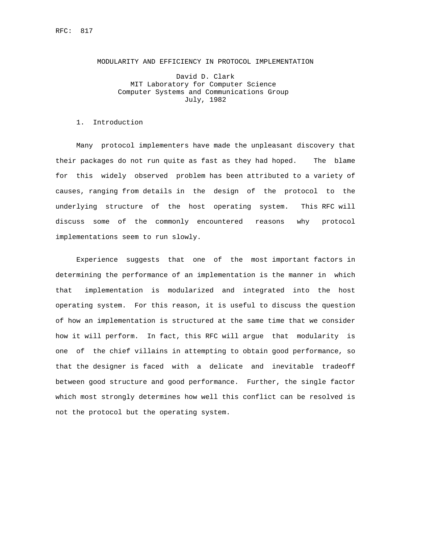## MODULARITY AND EFFICIENCY IN PROTOCOL IMPLEMENTATION

 David D. Clark MIT Laboratory for Computer Science Computer Systems and Communications Group July, 1982

## 1. Introduction

 Many protocol implementers have made the unpleasant discovery that their packages do not run quite as fast as they had hoped. The blame for this widely observed problem has been attributed to a variety of causes, ranging from details in the design of the protocol to the underlying structure of the host operating system. This RFC will discuss some of the commonly encountered reasons why protocol implementations seem to run slowly.

 Experience suggests that one of the most important factors in determining the performance of an implementation is the manner in which that implementation is modularized and integrated into the host operating system. For this reason, it is useful to discuss the question of how an implementation is structured at the same time that we consider how it will perform. In fact, this RFC will argue that modularity is one of the chief villains in attempting to obtain good performance, so that the designer is faced with a delicate and inevitable tradeoff between good structure and good performance. Further, the single factor which most strongly determines how well this conflict can be resolved is not the protocol but the operating system.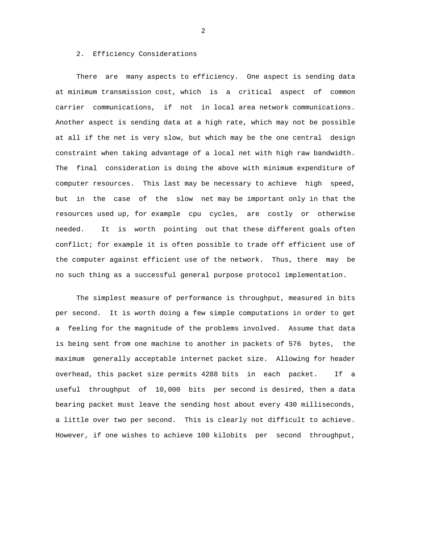# 2. Efficiency Considerations

 There are many aspects to efficiency. One aspect is sending data at minimum transmission cost, which is a critical aspect of common carrier communications, if not in local area network communications. Another aspect is sending data at a high rate, which may not be possible at all if the net is very slow, but which may be the one central design constraint when taking advantage of a local net with high raw bandwidth. The final consideration is doing the above with minimum expenditure of computer resources. This last may be necessary to achieve high speed, but in the case of the slow net may be important only in that the resources used up, for example cpu cycles, are costly or otherwise needed. It is worth pointing out that these different goals often conflict; for example it is often possible to trade off efficient use of the computer against efficient use of the network. Thus, there may be no such thing as a successful general purpose protocol implementation.

 The simplest measure of performance is throughput, measured in bits per second. It is worth doing a few simple computations in order to get a feeling for the magnitude of the problems involved. Assume that data is being sent from one machine to another in packets of 576 bytes, the maximum generally acceptable internet packet size. Allowing for header overhead, this packet size permits 4288 bits in each packet. If a useful throughput of 10,000 bits per second is desired, then a data bearing packet must leave the sending host about every 430 milliseconds, a little over two per second. This is clearly not difficult to achieve. However, if one wishes to achieve 100 kilobits per second throughput,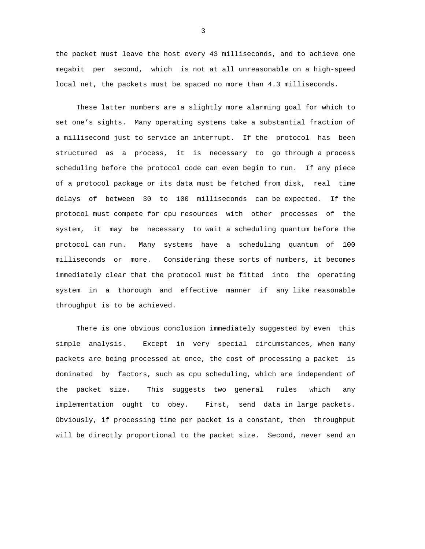the packet must leave the host every 43 milliseconds, and to achieve one megabit per second, which is not at all unreasonable on a high-speed local net, the packets must be spaced no more than 4.3 milliseconds.

 These latter numbers are a slightly more alarming goal for which to set one's sights. Many operating systems take a substantial fraction of a millisecond just to service an interrupt. If the protocol has been structured as a process, it is necessary to go through a process scheduling before the protocol code can even begin to run. If any piece of a protocol package or its data must be fetched from disk, real time delays of between 30 to 100 milliseconds can be expected. If the protocol must compete for cpu resources with other processes of the system, it may be necessary to wait a scheduling quantum before the protocol can run. Many systems have a scheduling quantum of 100 milliseconds or more. Considering these sorts of numbers, it becomes immediately clear that the protocol must be fitted into the operating system in a thorough and effective manner if any like reasonable throughput is to be achieved.

 There is one obvious conclusion immediately suggested by even this simple analysis. Except in very special circumstances, when many packets are being processed at once, the cost of processing a packet is dominated by factors, such as cpu scheduling, which are independent of the packet size. This suggests two general rules which any implementation ought to obey. First, send data in large packets. Obviously, if processing time per packet is a constant, then throughput will be directly proportional to the packet size. Second, never send an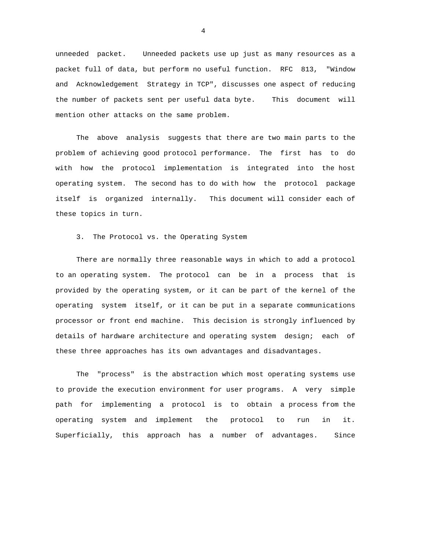unneeded packet. Unneeded packets use up just as many resources as a packet full of data, but perform no useful function. RFC 813, "Window and Acknowledgement Strategy in TCP", discusses one aspect of reducing the number of packets sent per useful data byte. This document will mention other attacks on the same problem.

 The above analysis suggests that there are two main parts to the problem of achieving good protocol performance. The first has to do with how the protocol implementation is integrated into the host operating system. The second has to do with how the protocol package itself is organized internally. This document will consider each of these topics in turn.

3. The Protocol vs. the Operating System

 There are normally three reasonable ways in which to add a protocol to an operating system. The protocol can be in a process that is provided by the operating system, or it can be part of the kernel of the operating system itself, or it can be put in a separate communications processor or front end machine. This decision is strongly influenced by details of hardware architecture and operating system design; each of these three approaches has its own advantages and disadvantages.

 The "process" is the abstraction which most operating systems use to provide the execution environment for user programs. A very simple path for implementing a protocol is to obtain a process from the operating system and implement the protocol to run in it. Superficially, this approach has a number of advantages. Since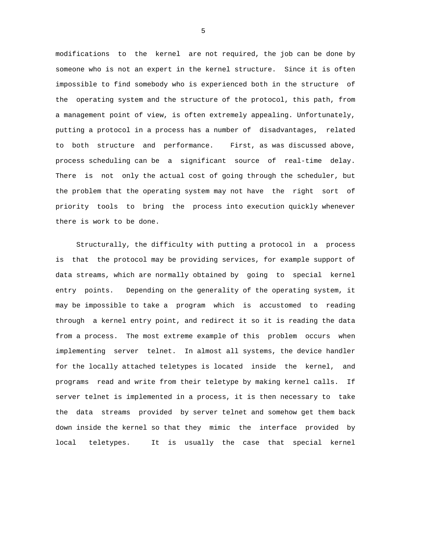modifications to the kernel are not required, the job can be done by someone who is not an expert in the kernel structure. Since it is often impossible to find somebody who is experienced both in the structure of the operating system and the structure of the protocol, this path, from a management point of view, is often extremely appealing. Unfortunately, putting a protocol in a process has a number of disadvantages, related to both structure and performance. First, as was discussed above, process scheduling can be a significant source of real-time delay. There is not only the actual cost of going through the scheduler, but the problem that the operating system may not have the right sort of priority tools to bring the process into execution quickly whenever there is work to be done.

 Structurally, the difficulty with putting a protocol in a process is that the protocol may be providing services, for example support of data streams, which are normally obtained by going to special kernel entry points. Depending on the generality of the operating system, it may be impossible to take a program which is accustomed to reading through a kernel entry point, and redirect it so it is reading the data from a process. The most extreme example of this problem occurs when implementing server telnet. In almost all systems, the device handler for the locally attached teletypes is located inside the kernel, and programs read and write from their teletype by making kernel calls. If server telnet is implemented in a process, it is then necessary to take the data streams provided by server telnet and somehow get them back down inside the kernel so that they mimic the interface provided by local teletypes. It is usually the case that special kernel

 $\sim$  5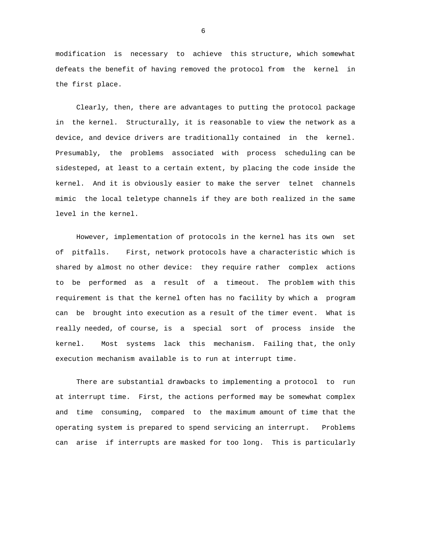modification is necessary to achieve this structure, which somewhat defeats the benefit of having removed the protocol from the kernel in the first place.

 Clearly, then, there are advantages to putting the protocol package in the kernel. Structurally, it is reasonable to view the network as a device, and device drivers are traditionally contained in the kernel. Presumably, the problems associated with process scheduling can be sidesteped, at least to a certain extent, by placing the code inside the kernel. And it is obviously easier to make the server telnet channels mimic the local teletype channels if they are both realized in the same level in the kernel.

 However, implementation of protocols in the kernel has its own set of pitfalls. First, network protocols have a characteristic which is shared by almost no other device: they require rather complex actions to be performed as a result of a timeout. The problem with this requirement is that the kernel often has no facility by which a program can be brought into execution as a result of the timer event. What is really needed, of course, is a special sort of process inside the kernel. Most systems lack this mechanism. Failing that, the only execution mechanism available is to run at interrupt time.

 There are substantial drawbacks to implementing a protocol to run at interrupt time. First, the actions performed may be somewhat complex and time consuming, compared to the maximum amount of time that the operating system is prepared to spend servicing an interrupt. Problems can arise if interrupts are masked for too long. This is particularly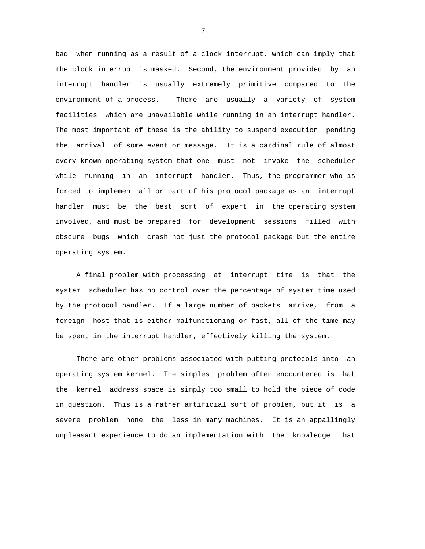bad when running as a result of a clock interrupt, which can imply that the clock interrupt is masked. Second, the environment provided by an interrupt handler is usually extremely primitive compared to the environment of a process. There are usually a variety of system facilities which are unavailable while running in an interrupt handler. The most important of these is the ability to suspend execution pending the arrival of some event or message. It is a cardinal rule of almost every known operating system that one must not invoke the scheduler while running in an interrupt handler. Thus, the programmer who is forced to implement all or part of his protocol package as an interrupt handler must be the best sort of expert in the operating system involved, and must be prepared for development sessions filled with obscure bugs which crash not just the protocol package but the entire operating system.

 A final problem with processing at interrupt time is that the system scheduler has no control over the percentage of system time used by the protocol handler. If a large number of packets arrive, from a foreign host that is either malfunctioning or fast, all of the time may be spent in the interrupt handler, effectively killing the system.

 There are other problems associated with putting protocols into an operating system kernel. The simplest problem often encountered is that the kernel address space is simply too small to hold the piece of code in question. This is a rather artificial sort of problem, but it is a severe problem none the less in many machines. It is an appallingly unpleasant experience to do an implementation with the knowledge that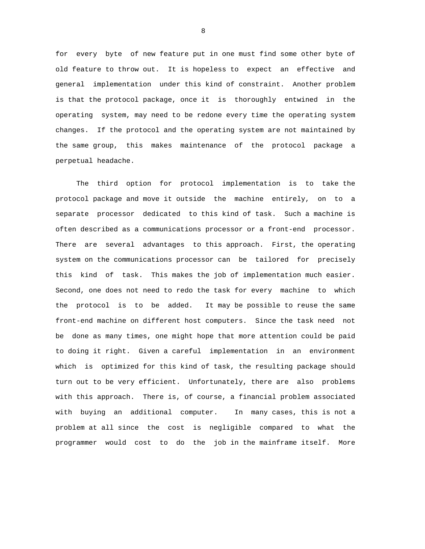for every byte of new feature put in one must find some other byte of old feature to throw out. It is hopeless to expect an effective and general implementation under this kind of constraint. Another problem is that the protocol package, once it is thoroughly entwined in the operating system, may need to be redone every time the operating system changes. If the protocol and the operating system are not maintained by the same group, this makes maintenance of the protocol package a perpetual headache.

 The third option for protocol implementation is to take the protocol package and move it outside the machine entirely, on to a separate processor dedicated to this kind of task. Such a machine is often described as a communications processor or a front-end processor. There are several advantages to this approach. First, the operating system on the communications processor can be tailored for precisely this kind of task. This makes the job of implementation much easier. Second, one does not need to redo the task for every machine to which the protocol is to be added. It may be possible to reuse the same front-end machine on different host computers. Since the task need not be done as many times, one might hope that more attention could be paid to doing it right. Given a careful implementation in an environment which is optimized for this kind of task, the resulting package should turn out to be very efficient. Unfortunately, there are also problems with this approach. There is, of course, a financial problem associated with buying an additional computer. In many cases, this is not a problem at all since the cost is negligible compared to what the programmer would cost to do the job in the mainframe itself. More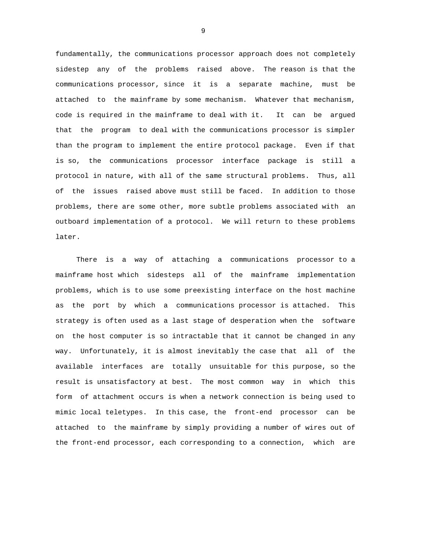fundamentally, the communications processor approach does not completely sidestep any of the problems raised above. The reason is that the communications processor, since it is a separate machine, must be attached to the mainframe by some mechanism. Whatever that mechanism, code is required in the mainframe to deal with it. It can be argued that the program to deal with the communications processor is simpler than the program to implement the entire protocol package. Even if that is so, the communications processor interface package is still a protocol in nature, with all of the same structural problems. Thus, all of the issues raised above must still be faced. In addition to those problems, there are some other, more subtle problems associated with an outboard implementation of a protocol. We will return to these problems later.

 There is a way of attaching a communications processor to a mainframe host which sidesteps all of the mainframe implementation problems, which is to use some preexisting interface on the host machine as the port by which a communications processor is attached. This strategy is often used as a last stage of desperation when the software on the host computer is so intractable that it cannot be changed in any way. Unfortunately, it is almost inevitably the case that all of the available interfaces are totally unsuitable for this purpose, so the result is unsatisfactory at best. The most common way in which this form of attachment occurs is when a network connection is being used to mimic local teletypes. In this case, the front-end processor can be attached to the mainframe by simply providing a number of wires out of the front-end processor, each corresponding to a connection, which are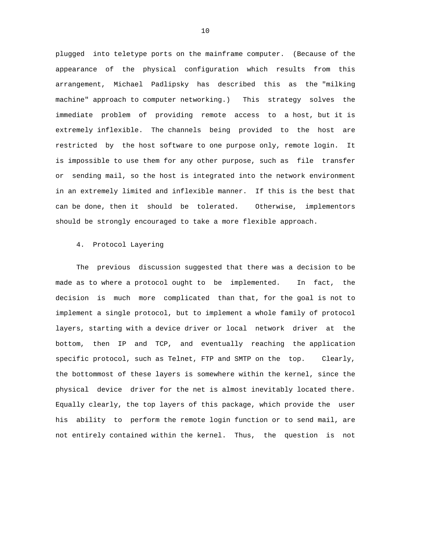plugged into teletype ports on the mainframe computer. (Because of the appearance of the physical configuration which results from this arrangement, Michael Padlipsky has described this as the "milking machine" approach to computer networking.) This strategy solves the immediate problem of providing remote access to a host, but it is extremely inflexible. The channels being provided to the host are restricted by the host software to one purpose only, remote login. It is impossible to use them for any other purpose, such as file transfer or sending mail, so the host is integrated into the network environment in an extremely limited and inflexible manner. If this is the best that can be done, then it should be tolerated. Otherwise, implementors should be strongly encouraged to take a more flexible approach.

# 4. Protocol Layering

 The previous discussion suggested that there was a decision to be made as to where a protocol ought to be implemented. In fact, the decision is much more complicated than that, for the goal is not to implement a single protocol, but to implement a whole family of protocol layers, starting with a device driver or local network driver at the bottom, then IP and TCP, and eventually reaching the application specific protocol, such as Telnet, FTP and SMTP on the top. Clearly, the bottommost of these layers is somewhere within the kernel, since the physical device driver for the net is almost inevitably located there. Equally clearly, the top layers of this package, which provide the user his ability to perform the remote login function or to send mail, are not entirely contained within the kernel. Thus, the question is not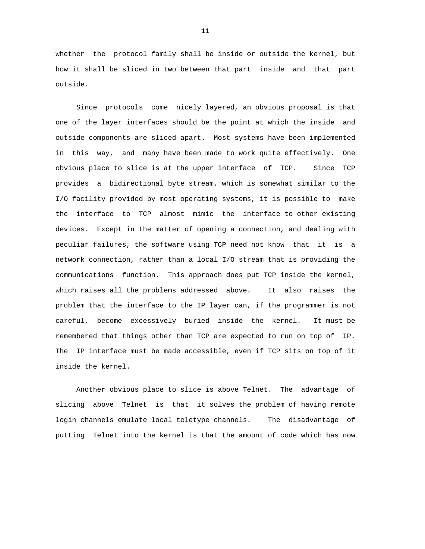whether the protocol family shall be inside or outside the kernel, but how it shall be sliced in two between that part inside and that part outside.

 Since protocols come nicely layered, an obvious proposal is that one of the layer interfaces should be the point at which the inside and outside components are sliced apart. Most systems have been implemented in this way, and many have been made to work quite effectively. One obvious place to slice is at the upper interface of TCP. Since TCP provides a bidirectional byte stream, which is somewhat similar to the I/O facility provided by most operating systems, it is possible to make the interface to TCP almost mimic the interface to other existing devices. Except in the matter of opening a connection, and dealing with peculiar failures, the software using TCP need not know that it is a network connection, rather than a local I/O stream that is providing the communications function. This approach does put TCP inside the kernel, which raises all the problems addressed above. It also raises the problem that the interface to the IP layer can, if the programmer is not careful, become excessively buried inside the kernel. It must be remembered that things other than TCP are expected to run on top of IP. The IP interface must be made accessible, even if TCP sits on top of it inside the kernel.

 Another obvious place to slice is above Telnet. The advantage of slicing above Telnet is that it solves the problem of having remote login channels emulate local teletype channels. The disadvantage of putting Telnet into the kernel is that the amount of code which has now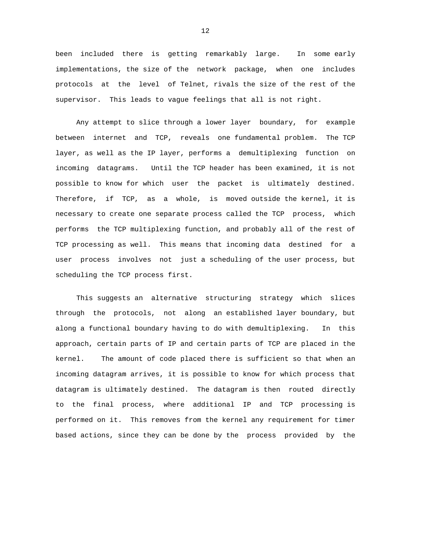been included there is getting remarkably large. In some early implementations, the size of the network package, when one includes protocols at the level of Telnet, rivals the size of the rest of the supervisor. This leads to vague feelings that all is not right.

 Any attempt to slice through a lower layer boundary, for example between internet and TCP, reveals one fundamental problem. The TCP layer, as well as the IP layer, performs a demultiplexing function on incoming datagrams. Until the TCP header has been examined, it is not possible to know for which user the packet is ultimately destined. Therefore, if TCP, as a whole, is moved outside the kernel, it is necessary to create one separate process called the TCP process, which performs the TCP multiplexing function, and probably all of the rest of TCP processing as well. This means that incoming data destined for a user process involves not just a scheduling of the user process, but scheduling the TCP process first.

 This suggests an alternative structuring strategy which slices through the protocols, not along an established layer boundary, but along a functional boundary having to do with demultiplexing. In this approach, certain parts of IP and certain parts of TCP are placed in the kernel. The amount of code placed there is sufficient so that when an incoming datagram arrives, it is possible to know for which process that datagram is ultimately destined. The datagram is then routed directly to the final process, where additional IP and TCP processing is performed on it. This removes from the kernel any requirement for timer based actions, since they can be done by the process provided by the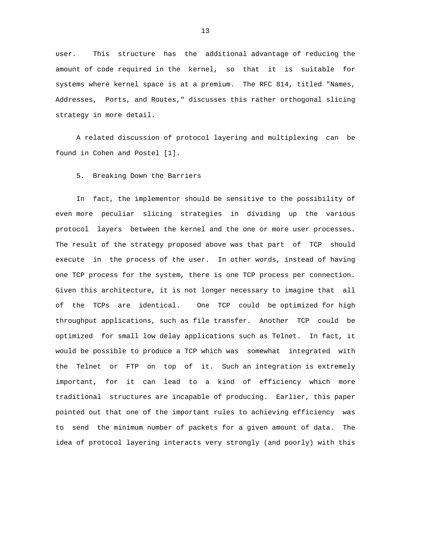user. This structure has the additional advantage of reducing the amount of code required in the kernel, so that it is suitable for systems where kernel space is at a premium. The RFC 814, titled "Names, Addresses, Ports, and Routes," discusses this rather orthogonal slicing strategy in more detail.

 A related discussion of protocol layering and multiplexing can be found in Cohen and Postel [1].

5. Breaking Down the Barriers

 In fact, the implementor should be sensitive to the possibility of even more peculiar slicing strategies in dividing up the various protocol layers between the kernel and the one or more user processes. The result of the strategy proposed above was that part of TCP should execute in the process of the user. In other words, instead of having one TCP process for the system, there is one TCP process per connection. Given this architecture, it is not longer necessary to imagine that all of the TCPs are identical. One TCP could be optimized for high throughput applications, such as file transfer. Another TCP could be optimized for small low delay applications such as Telnet. In fact, it would be possible to produce a TCP which was somewhat integrated with the Telnet or FTP on top of it. Such an integration is extremely important, for it can lead to a kind of efficiency which more traditional structures are incapable of producing. Earlier, this paper pointed out that one of the important rules to achieving efficiency was to send the minimum number of packets for a given amount of data. The idea of protocol layering interacts very strongly (and poorly) with this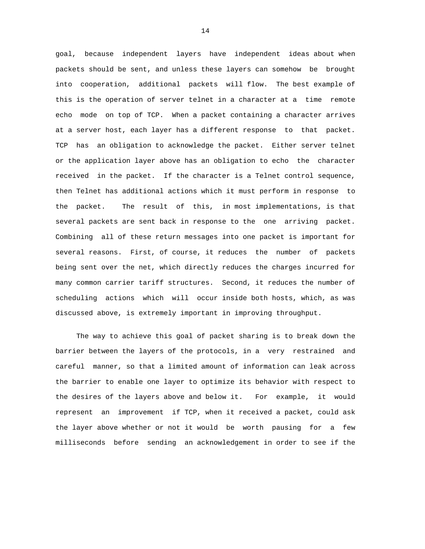goal, because independent layers have independent ideas about when packets should be sent, and unless these layers can somehow be brought into cooperation, additional packets will flow. The best example of this is the operation of server telnet in a character at a time remote echo mode on top of TCP. When a packet containing a character arrives at a server host, each layer has a different response to that packet. TCP has an obligation to acknowledge the packet. Either server telnet or the application layer above has an obligation to echo the character received in the packet. If the character is a Telnet control sequence, then Telnet has additional actions which it must perform in response to the packet. The result of this, in most implementations, is that several packets are sent back in response to the one arriving packet. Combining all of these return messages into one packet is important for several reasons. First, of course, it reduces the number of packets being sent over the net, which directly reduces the charges incurred for many common carrier tariff structures. Second, it reduces the number of scheduling actions which will occur inside both hosts, which, as was discussed above, is extremely important in improving throughput.

 The way to achieve this goal of packet sharing is to break down the barrier between the layers of the protocols, in a very restrained and careful manner, so that a limited amount of information can leak across the barrier to enable one layer to optimize its behavior with respect to the desires of the layers above and below it. For example, it would represent an improvement if TCP, when it received a packet, could ask the layer above whether or not it would be worth pausing for a few milliseconds before sending an acknowledgement in order to see if the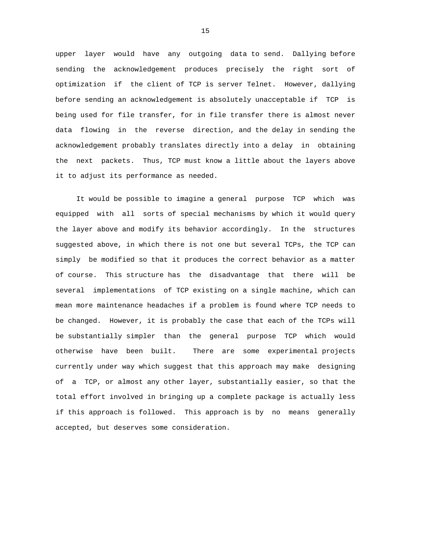upper layer would have any outgoing data to send. Dallying before sending the acknowledgement produces precisely the right sort of optimization if the client of TCP is server Telnet. However, dallying before sending an acknowledgement is absolutely unacceptable if TCP is being used for file transfer, for in file transfer there is almost never data flowing in the reverse direction, and the delay in sending the acknowledgement probably translates directly into a delay in obtaining the next packets. Thus, TCP must know a little about the layers above it to adjust its performance as needed.

 It would be possible to imagine a general purpose TCP which was equipped with all sorts of special mechanisms by which it would query the layer above and modify its behavior accordingly. In the structures suggested above, in which there is not one but several TCPs, the TCP can simply be modified so that it produces the correct behavior as a matter of course. This structure has the disadvantage that there will be several implementations of TCP existing on a single machine, which can mean more maintenance headaches if a problem is found where TCP needs to be changed. However, it is probably the case that each of the TCPs will be substantially simpler than the general purpose TCP which would otherwise have been built. There are some experimental projects currently under way which suggest that this approach may make designing of a TCP, or almost any other layer, substantially easier, so that the total effort involved in bringing up a complete package is actually less if this approach is followed. This approach is by no means generally accepted, but deserves some consideration.

<u>15</u>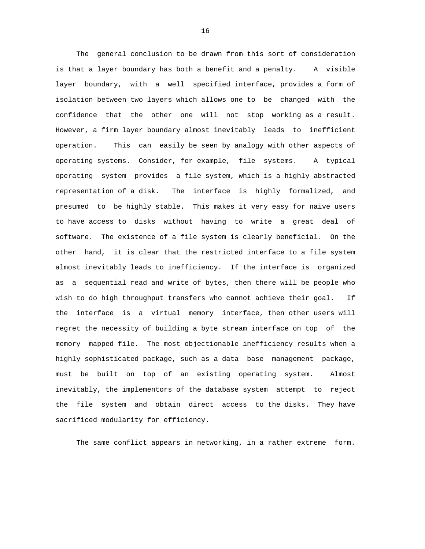The general conclusion to be drawn from this sort of consideration is that a layer boundary has both a benefit and a penalty. A visible layer boundary, with a well specified interface, provides a form of isolation between two layers which allows one to be changed with the confidence that the other one will not stop working as a result. However, a firm layer boundary almost inevitably leads to inefficient operation. This can easily be seen by analogy with other aspects of operating systems. Consider, for example, file systems. A typical operating system provides a file system, which is a highly abstracted representation of a disk. The interface is highly formalized, and presumed to be highly stable. This makes it very easy for naive users to have access to disks without having to write a great deal of software. The existence of a file system is clearly beneficial. On the other hand, it is clear that the restricted interface to a file system almost inevitably leads to inefficiency. If the interface is organized as a sequential read and write of bytes, then there will be people who wish to do high throughput transfers who cannot achieve their goal. If the interface is a virtual memory interface, then other users will regret the necessity of building a byte stream interface on top of the memory mapped file. The most objectionable inefficiency results when a highly sophisticated package, such as a data base management package, must be built on top of an existing operating system. Almost inevitably, the implementors of the database system attempt to reject the file system and obtain direct access to the disks. They have sacrificed modularity for efficiency.

The same conflict appears in networking, in a rather extreme form.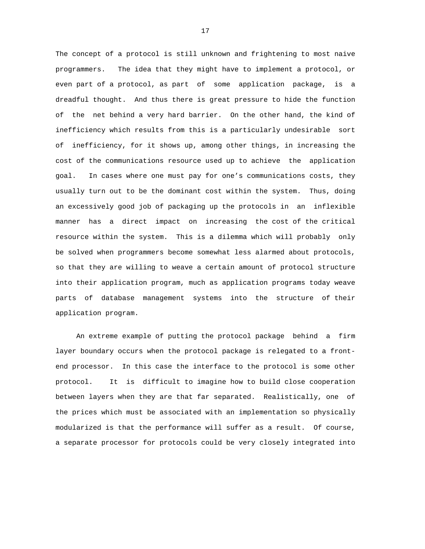The concept of a protocol is still unknown and frightening to most naive programmers. The idea that they might have to implement a protocol, or even part of a protocol, as part of some application package, is a dreadful thought. And thus there is great pressure to hide the function of the net behind a very hard barrier. On the other hand, the kind of inefficiency which results from this is a particularly undesirable sort of inefficiency, for it shows up, among other things, in increasing the cost of the communications resource used up to achieve the application goal. In cases where one must pay for one's communications costs, they usually turn out to be the dominant cost within the system. Thus, doing an excessively good job of packaging up the protocols in an inflexible manner has a direct impact on increasing the cost of the critical resource within the system. This is a dilemma which will probably only be solved when programmers become somewhat less alarmed about protocols, so that they are willing to weave a certain amount of protocol structure into their application program, much as application programs today weave parts of database management systems into the structure of their application program.

 An extreme example of putting the protocol package behind a firm layer boundary occurs when the protocol package is relegated to a frontend processor. In this case the interface to the protocol is some other protocol. It is difficult to imagine how to build close cooperation between layers when they are that far separated. Realistically, one of the prices which must be associated with an implementation so physically modularized is that the performance will suffer as a result. Of course, a separate processor for protocols could be very closely integrated into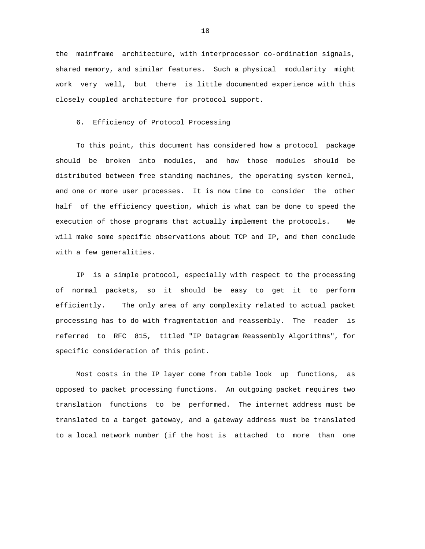the mainframe architecture, with interprocessor co-ordination signals, shared memory, and similar features. Such a physical modularity might work very well, but there is little documented experience with this closely coupled architecture for protocol support.

6. Efficiency of Protocol Processing

 To this point, this document has considered how a protocol package should be broken into modules, and how those modules should be distributed between free standing machines, the operating system kernel, and one or more user processes. It is now time to consider the other half of the efficiency question, which is what can be done to speed the execution of those programs that actually implement the protocols. We will make some specific observations about TCP and IP, and then conclude with a few generalities.

 IP is a simple protocol, especially with respect to the processing of normal packets, so it should be easy to get it to perform efficiently. The only area of any complexity related to actual packet processing has to do with fragmentation and reassembly. The reader is referred to RFC 815, titled "IP Datagram Reassembly Algorithms", for specific consideration of this point.

 Most costs in the IP layer come from table look up functions, as opposed to packet processing functions. An outgoing packet requires two translation functions to be performed. The internet address must be translated to a target gateway, and a gateway address must be translated to a local network number (if the host is attached to more than one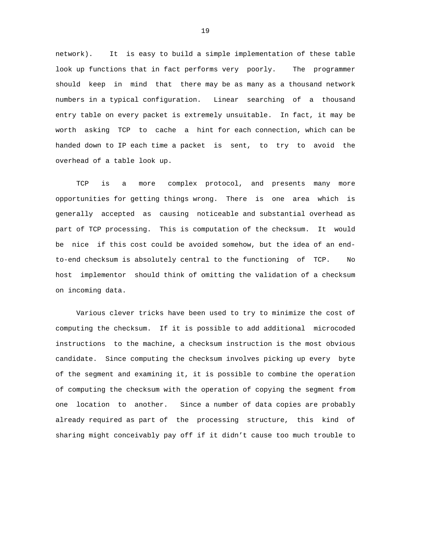network). It is easy to build a simple implementation of these table look up functions that in fact performs very poorly. The programmer should keep in mind that there may be as many as a thousand network numbers in a typical configuration. Linear searching of a thousand entry table on every packet is extremely unsuitable. In fact, it may be worth asking TCP to cache a hint for each connection, which can be handed down to IP each time a packet is sent, to try to avoid the overhead of a table look up.

 TCP is a more complex protocol, and presents many more opportunities for getting things wrong. There is one area which is generally accepted as causing noticeable and substantial overhead as part of TCP processing. This is computation of the checksum. It would be nice if this cost could be avoided somehow, but the idea of an endto-end checksum is absolutely central to the functioning of TCP. No host implementor should think of omitting the validation of a checksum on incoming data.

 Various clever tricks have been used to try to minimize the cost of computing the checksum. If it is possible to add additional microcoded instructions to the machine, a checksum instruction is the most obvious candidate. Since computing the checksum involves picking up every byte of the segment and examining it, it is possible to combine the operation of computing the checksum with the operation of copying the segment from one location to another. Since a number of data copies are probably already required as part of the processing structure, this kind of sharing might conceivably pay off if it didn't cause too much trouble to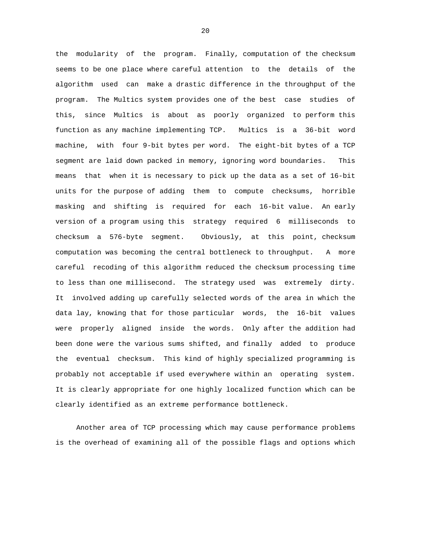the modularity of the program. Finally, computation of the checksum seems to be one place where careful attention to the details of the algorithm used can make a drastic difference in the throughput of the program. The Multics system provides one of the best case studies of this, since Multics is about as poorly organized to perform this function as any machine implementing TCP. Multics is a 36-bit word machine, with four 9-bit bytes per word. The eight-bit bytes of a TCP segment are laid down packed in memory, ignoring word boundaries. This means that when it is necessary to pick up the data as a set of 16-bit units for the purpose of adding them to compute checksums, horrible masking and shifting is required for each 16-bit value. An early version of a program using this strategy required 6 milliseconds to checksum a 576-byte segment. Obviously, at this point, checksum computation was becoming the central bottleneck to throughput. A more careful recoding of this algorithm reduced the checksum processing time to less than one millisecond. The strategy used was extremely dirty. It involved adding up carefully selected words of the area in which the data lay, knowing that for those particular words, the 16-bit values were properly aligned inside the words. Only after the addition had been done were the various sums shifted, and finally added to produce the eventual checksum. This kind of highly specialized programming is probably not acceptable if used everywhere within an operating system. It is clearly appropriate for one highly localized function which can be clearly identified as an extreme performance bottleneck.

 Another area of TCP processing which may cause performance problems is the overhead of examining all of the possible flags and options which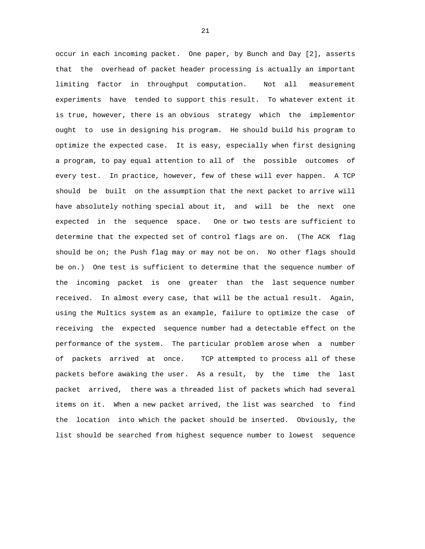occur in each incoming packet. One paper, by Bunch and Day [2], asserts that the overhead of packet header processing is actually an important limiting factor in throughput computation. Not all measurement experiments have tended to support this result. To whatever extent it is true, however, there is an obvious strategy which the implementor ought to use in designing his program. He should build his program to optimize the expected case. It is easy, especially when first designing a program, to pay equal attention to all of the possible outcomes of every test. In practice, however, few of these will ever happen. A TCP should be built on the assumption that the next packet to arrive will have absolutely nothing special about it, and will be the next one expected in the sequence space. One or two tests are sufficient to determine that the expected set of control flags are on. (The ACK flag should be on; the Push flag may or may not be on. No other flags should be on.) One test is sufficient to determine that the sequence number of the incoming packet is one greater than the last sequence number received. In almost every case, that will be the actual result. Again, using the Multics system as an example, failure to optimize the case of receiving the expected sequence number had a detectable effect on the performance of the system. The particular problem arose when a number of packets arrived at once. TCP attempted to process all of these packets before awaking the user. As a result, by the time the last packet arrived, there was a threaded list of packets which had several items on it. When a new packet arrived, the list was searched to find the location into which the packet should be inserted. Obviously, the list should be searched from highest sequence number to lowest sequence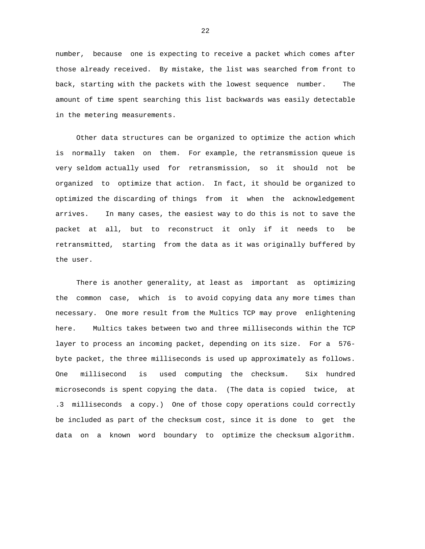number, because one is expecting to receive a packet which comes after those already received. By mistake, the list was searched from front to back, starting with the packets with the lowest sequence number. The amount of time spent searching this list backwards was easily detectable in the metering measurements.

 Other data structures can be organized to optimize the action which is normally taken on them. For example, the retransmission queue is very seldom actually used for retransmission, so it should not be organized to optimize that action. In fact, it should be organized to optimized the discarding of things from it when the acknowledgement arrives. In many cases, the easiest way to do this is not to save the packet at all, but to reconstruct it only if it needs to be retransmitted, starting from the data as it was originally buffered by the user.

 There is another generality, at least as important as optimizing the common case, which is to avoid copying data any more times than necessary. One more result from the Multics TCP may prove enlightening here. Multics takes between two and three milliseconds within the TCP layer to process an incoming packet, depending on its size. For a 576 byte packet, the three milliseconds is used up approximately as follows. One millisecond is used computing the checksum. Six hundred microseconds is spent copying the data. (The data is copied twice, at .3 milliseconds a copy.) One of those copy operations could correctly be included as part of the checksum cost, since it is done to get the data on a known word boundary to optimize the checksum algorithm.

<u>22</u>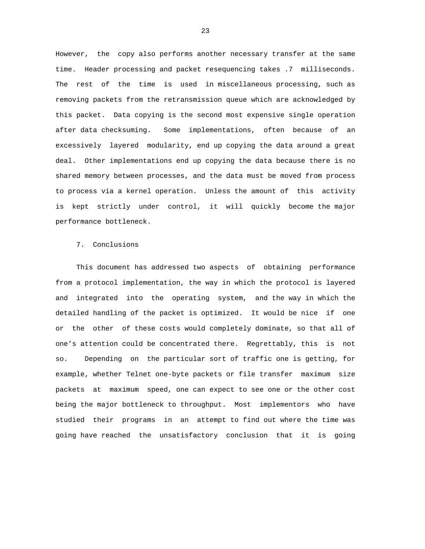However, the copy also performs another necessary transfer at the same time. Header processing and packet resequencing takes .7 milliseconds. The rest of the time is used in miscellaneous processing, such as removing packets from the retransmission queue which are acknowledged by this packet. Data copying is the second most expensive single operation after data checksuming. Some implementations, often because of an excessively layered modularity, end up copying the data around a great deal. Other implementations end up copying the data because there is no shared memory between processes, and the data must be moved from process to process via a kernel operation. Unless the amount of this activity is kept strictly under control, it will quickly become the major performance bottleneck.

## 7. Conclusions

 This document has addressed two aspects of obtaining performance from a protocol implementation, the way in which the protocol is layered and integrated into the operating system, and the way in which the detailed handling of the packet is optimized. It would be nice if one or the other of these costs would completely dominate, so that all of one's attention could be concentrated there. Regrettably, this is not so. Depending on the particular sort of traffic one is getting, for example, whether Telnet one-byte packets or file transfer maximum size packets at maximum speed, one can expect to see one or the other cost being the major bottleneck to throughput. Most implementors who have studied their programs in an attempt to find out where the time was going have reached the unsatisfactory conclusion that it is going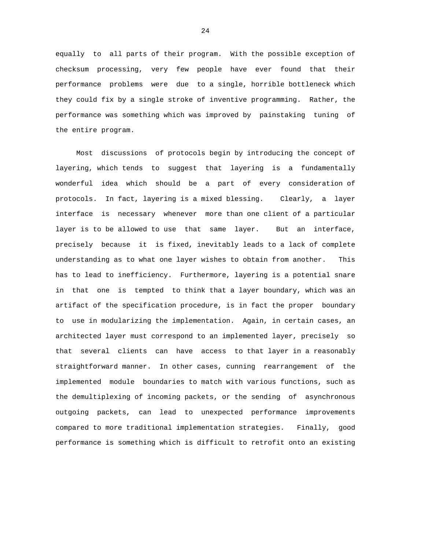equally to all parts of their program. With the possible exception of checksum processing, very few people have ever found that their performance problems were due to a single, horrible bottleneck which they could fix by a single stroke of inventive programming. Rather, the performance was something which was improved by painstaking tuning of the entire program.

 Most discussions of protocols begin by introducing the concept of layering, which tends to suggest that layering is a fundamentally wonderful idea which should be a part of every consideration of protocols. In fact, layering is a mixed blessing. Clearly, a layer interface is necessary whenever more than one client of a particular layer is to be allowed to use that same layer. But an interface, precisely because it is fixed, inevitably leads to a lack of complete understanding as to what one layer wishes to obtain from another. This has to lead to inefficiency. Furthermore, layering is a potential snare in that one is tempted to think that a layer boundary, which was an artifact of the specification procedure, is in fact the proper boundary to use in modularizing the implementation. Again, in certain cases, an architected layer must correspond to an implemented layer, precisely so that several clients can have access to that layer in a reasonably straightforward manner. In other cases, cunning rearrangement of the implemented module boundaries to match with various functions, such as the demultiplexing of incoming packets, or the sending of asynchronous outgoing packets, can lead to unexpected performance improvements compared to more traditional implementation strategies. Finally, good performance is something which is difficult to retrofit onto an existing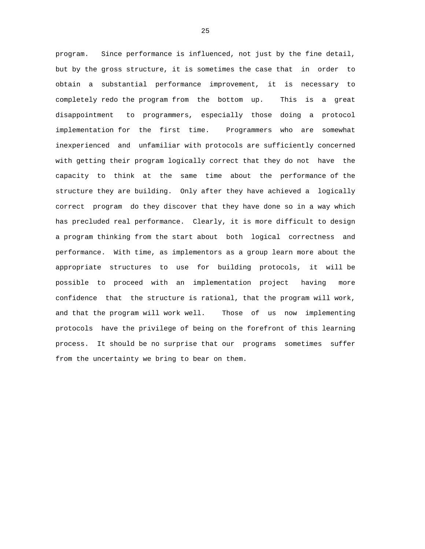program. Since performance is influenced, not just by the fine detail, but by the gross structure, it is sometimes the case that in order to obtain a substantial performance improvement, it is necessary to completely redo the program from the bottom up. This is a great disappointment to programmers, especially those doing a protocol implementation for the first time. Programmers who are somewhat inexperienced and unfamiliar with protocols are sufficiently concerned with getting their program logically correct that they do not have the capacity to think at the same time about the performance of the structure they are building. Only after they have achieved a logically correct program do they discover that they have done so in a way which has precluded real performance. Clearly, it is more difficult to design a program thinking from the start about both logical correctness and performance. With time, as implementors as a group learn more about the appropriate structures to use for building protocols, it will be possible to proceed with an implementation project having more confidence that the structure is rational, that the program will work, and that the program will work well. Those of us now implementing protocols have the privilege of being on the forefront of this learning process. It should be no surprise that our programs sometimes suffer from the uncertainty we bring to bear on them.